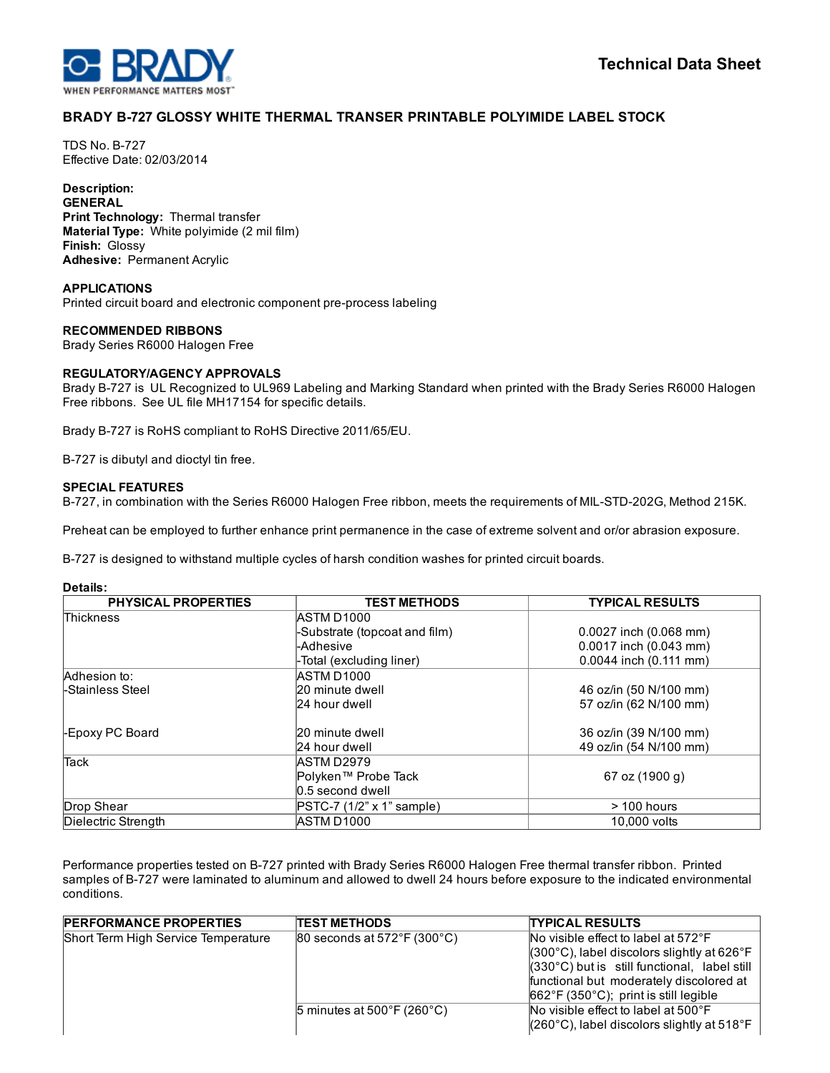

# BRADY B727 GLOSSY WHITE THERMAL TRANSER PRINTABLE POLYIMIDE LABEL STOCK

**TDS No. B-727** Effective Date: 02/03/2014

Description: GENERAL Print Technology: Thermal transfer Material Type: White polyimide (2 mil film) Finish: Glossy Adhesive: Permanent Acrylic

### APPLICATIONS

Printed circuit board and electronic component pre-process labeling

### RECOMMENDED RIBBONS

Brady Series R6000 Halogen Free

# REGULATORY/AGENCY APPROVALS

Brady B-727 is UL Recognized to UL969 Labeling and Marking Standard when printed with the Brady Series R6000 Halogen Free ribbons. See UL file MH17154 for specific details.

Brady B727 is RoHS compliant to RoHS Directive 2011/65/EU.

B-727 is dibutyl and dioctyl tin free.

### SPECIAL FEATURES

B-727, in combination with the Series R6000 Halogen Free ribbon, meets the requirements of MIL-STD-202G, Method 215K.

Preheat can be employed to further enhance print permanence in the case of extreme solvent and or/or abrasion exposure.

B-727 is designed to withstand multiple cycles of harsh condition washes for printed circuit boards.

#### Details:

| PHYSICAL PROPERTIES | <b>TEST METHODS</b>              | <b>TYPICAL RESULTS</b>                           |
|---------------------|----------------------------------|--------------------------------------------------|
| <b>Thickness</b>    | <b>ASTM D1000</b>                |                                                  |
|                     | Substrate (topcoat and film)     | 0.0027 inch (0.068 mm)                           |
|                     | -Adhesive                        | 0.0017 inch (0.043 mm)                           |
|                     | Fotal (excluding liner)          | $0.0044$ inch $(0.111$ mm)                       |
| Adhesion to:        | <b>ASTM D1000</b>                |                                                  |
| l-Stainless Steel   | 20 minute dwell                  | 46 oz/in (50 N/100 mm)                           |
|                     | 24 hour dwell                    | 57 oz/in (62 N/100 mm)                           |
| FEpoxy PC Board     | 20 minute dwell<br>24 hour dwell | 36 oz/in (39 N/100 mm)<br>49 oz/in (54 N/100 mm) |
| <b>Tack</b>         | ASTM D2979                       |                                                  |
|                     | Polyken™ Probe Tack              | 67 oz (1900 g)                                   |
|                     | 0.5 second dwell                 |                                                  |
| Drop Shear          | $PSTC-7$ (1/2" x 1" sample)      | $>$ 100 hours                                    |
| Dielectric Strength | <b>ASTM D1000</b>                | 10,000 volts                                     |

Performance properties tested on B-727 printed with Brady Series R6000 Halogen Free thermal transfer ribbon. Printed samples of B-727 were laminated to aluminum and allowed to dwell 24 hours before exposure to the indicated environmental conditions.

| <b>PERFORMANCE PROPERTIES</b>       | <b>TEST METHODS</b>                              | <b>TYPICAL RESULTS</b>                                                                                                                                                                                                                                                   |
|-------------------------------------|--------------------------------------------------|--------------------------------------------------------------------------------------------------------------------------------------------------------------------------------------------------------------------------------------------------------------------------|
| Short Term High Service Temperature | 80 seconds at $572^{\circ}$ F (300 $^{\circ}$ C) | No visible effect to label at 572°F<br>$(300^{\circ}$ C), label discolors slightly at 626 $^{\circ}$ F<br>$(330^{\circ}C)$ but is still functional, label still<br>functional but moderately discolored at<br>$662^{\circ}$ F (350 $^{\circ}$ C); print is still legible |
|                                     | $\overline{5}$ minutes at 500°F (260°C)          | No visible effect to label at 500°F<br>$(260^{\circ}$ C), label discolors slightly at 518 $^{\circ}$ F                                                                                                                                                                   |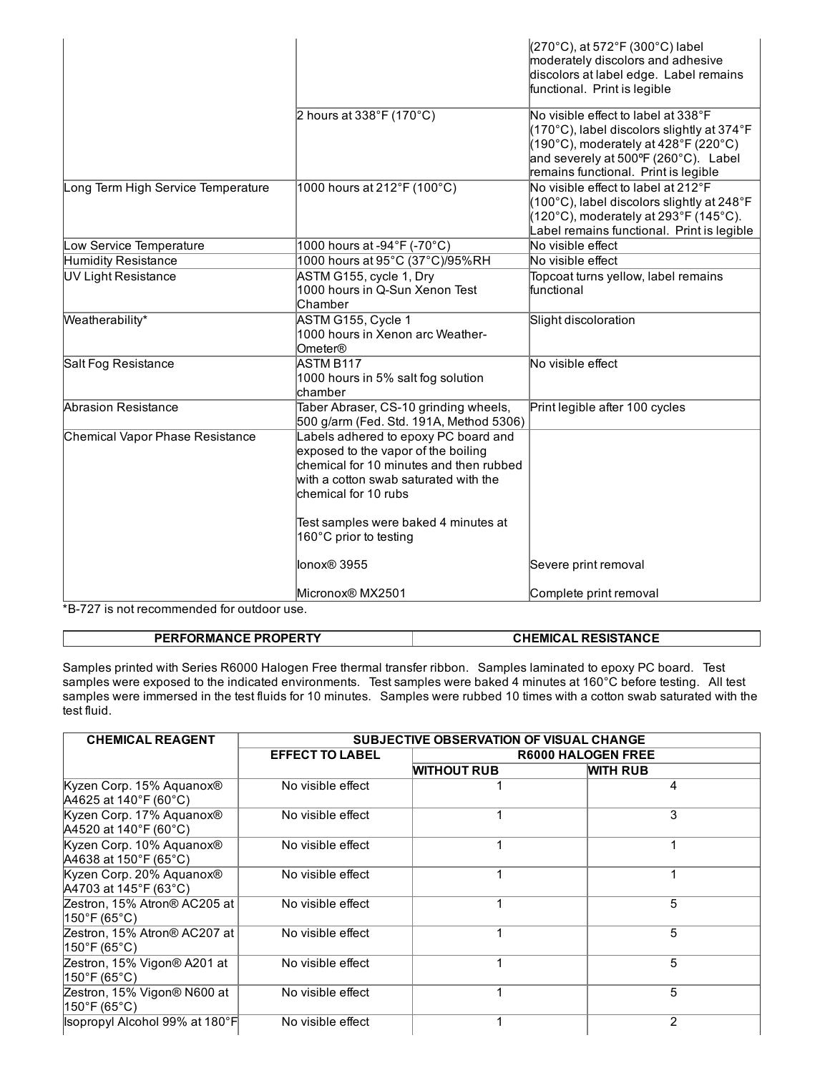|                                                         |                                                                                                                                                                                                                                 | (270°C), at 572°F (300°C) label<br>moderately discolors and adhesive<br>discolors at label edge. Label remains<br>functional. Print is legible                                                                                          |
|---------------------------------------------------------|---------------------------------------------------------------------------------------------------------------------------------------------------------------------------------------------------------------------------------|-----------------------------------------------------------------------------------------------------------------------------------------------------------------------------------------------------------------------------------------|
|                                                         | 2 hours at $338^{\circ}F(170^{\circ}C)$                                                                                                                                                                                         | No visible effect to label at 338°F<br>(170°C), label discolors slightly at 374°F<br>$(190^{\circ}C)$ , moderately at 428 $^{\circ}$ F $(220^{\circ}C)$<br>and severely at 500°F (260°C). Label<br>remains functional. Print is legible |
| Long Term High Service Temperature                      | 1000 hours at 212°F (100°C)                                                                                                                                                                                                     | No visible effect to label at 212°F<br>$(100^{\circ}$ C), label discolors slightly at 248 $^{\circ}$ F<br>$(120^{\circ}$ C), moderately at 293°F (145°C).<br>Label remains functional. Print is legible                                 |
| Low Service Temperature                                 | 1000 hours at -94°F (-70°C)                                                                                                                                                                                                     | No visible effect                                                                                                                                                                                                                       |
| Humidity Resistance                                     | 1000 hours at 95°C (37°C)/95%RH                                                                                                                                                                                                 | No visible effect                                                                                                                                                                                                                       |
| UV Light Resistance                                     | ASTM G155, cycle 1, Dry<br>1000 hours in Q-Sun Xenon Test<br>Chamber                                                                                                                                                            | Topcoat turns yellow, label remains<br>functional                                                                                                                                                                                       |
| Weatherability*                                         | ASTM G155, Cycle 1<br>1000 hours in Xenon arc Weather-<br><b>Ometer®</b>                                                                                                                                                        | Slight discoloration                                                                                                                                                                                                                    |
| Salt Fog Resistance                                     | ASTM B117<br>1000 hours in 5% salt fog solution<br>chamber                                                                                                                                                                      | No visible effect                                                                                                                                                                                                                       |
| <b>Abrasion Resistance</b>                              | Taber Abraser, CS-10 grinding wheels,<br>500 g/arm (Fed. Std. 191A, Method 5306)                                                                                                                                                | Print legible after 100 cycles                                                                                                                                                                                                          |
| Chemical Vapor Phase Resistance                         | Labels adhered to epoxy PC board and<br>exposed to the vapor of the boiling<br>chemical for 10 minutes and then rubbed<br>with a cotton swab saturated with the<br>chemical for 10 rubs<br>Test samples were baked 4 minutes at |                                                                                                                                                                                                                                         |
|                                                         | 160°C prior to testing                                                                                                                                                                                                          |                                                                                                                                                                                                                                         |
|                                                         | lonox® 3955<br>Micronox <sup>®</sup> MX2501                                                                                                                                                                                     | Severe print removal<br>Complete print removal                                                                                                                                                                                          |
| $\rightarrow$ $\rightarrow$ $\rightarrow$ $\rightarrow$ |                                                                                                                                                                                                                                 |                                                                                                                                                                                                                                         |

\*B-727 is not recommended for outdoor use.

| <b>PERFORMANCE PROPERTY</b> | <b>CHEMICAL RESISTANCE</b> |
|-----------------------------|----------------------------|

٦

Samples printed with Series R6000 Halogen Free thermal transfer ribbon. Samples laminated to epoxy PC board. Test samples were exposed to the indicated environments. Test samples were baked 4 minutes at 160°C before testing. All test samples were immersed in the test fluids for 10 minutes. Samples were rubbed 10 times with a cotton swab saturated with the test fluid.

| <b>CHEMICAL REAGENT</b>                                                       | <b>SUBJECTIVE OBSERVATION OF VISUAL CHANGE</b> |                    |                           |
|-------------------------------------------------------------------------------|------------------------------------------------|--------------------|---------------------------|
|                                                                               | <b>EFFECT TO LABEL</b>                         |                    | <b>R6000 HALOGEN FREE</b> |
|                                                                               |                                                | <b>WITHOUT RUB</b> | WITH RUB                  |
| Kyzen Corp. 15% Aquanox®<br>$\mu$ 4625 at 140°F (60°C)                        | No visible effect                              |                    | 4                         |
| Kyzen Corp. 17% Aquanox®<br>$\mu$ 4520 at 140°F (60°C)                        | No visible effect                              |                    | 3                         |
| Kyzen Corp. 10% Aquanox®<br>A4638 at 150°F (65°C)                             | No visible effect                              |                    |                           |
| Kyzen Corp. 20% Aquanox®<br>$\mu$ 4703 at 145°F (63°C)                        | No visible effect                              |                    |                           |
| Zestron, 15% Atron <sup>®</sup> AC205 at<br>$150^{\circ}$ F (65 $^{\circ}$ C) | No visible effect                              |                    | 5                         |
| lZestron, 15% Atron® AC207 at l<br> 150°F (65°C)                              | No visible effect                              |                    | 5                         |
| Zestron, 15% Vigon® A201 at<br>150°F (65°C)                                   | No visible effect                              |                    | 5                         |
| Zestron, 15% Vigon® N600 at<br> 150°F (65°C)                                  | No visible effect                              |                    | 5                         |
| llsopropyl Alcohol 99% at 180°F                                               | No visible effect                              |                    | 2                         |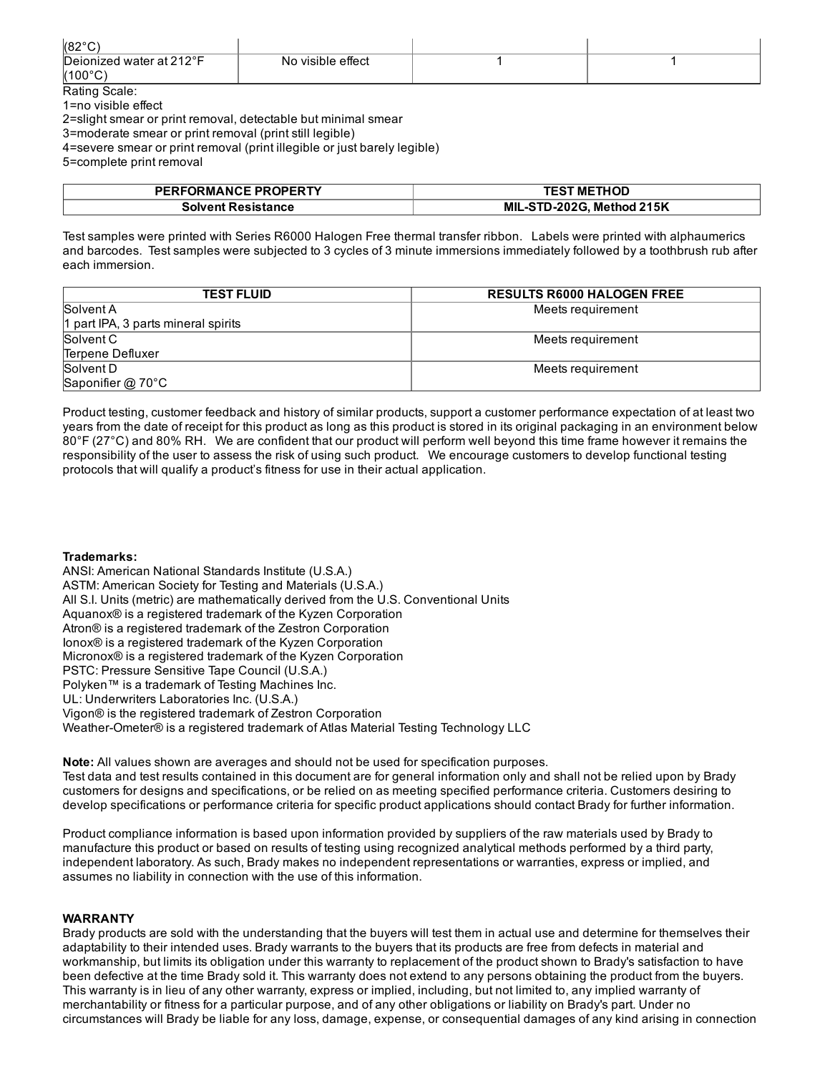| Deionized water at 212°F<br>$(100^{\circ}C)$                                                                                                                     | No visible effect |  |
|------------------------------------------------------------------------------------------------------------------------------------------------------------------|-------------------|--|
| Rating Scale:<br>1=no visible effect<br>2=slight smear or print removal, detectable but minimal smear<br>3=moderate smear or print removal (print still legible) |                   |  |
| 4=severe smear or print removal (print illegible or just barely legible)<br>5=complete print removal                                                             |                   |  |

| <b>Solvent Resistance</b>                                                                                                   | MIL-STD-202G, Method 215K |
|-----------------------------------------------------------------------------------------------------------------------------|---------------------------|
|                                                                                                                             |                           |
| Test samples were printed with Series R6000 Halogen Free thermal transfer ribbon. Labels were printed with alphaumerics     |                           |
| and barcodos. Tost samples were subjected to 3 evelop of 3 minute immersions immediately followed by a toothbrush rub after |                           |

and barcodes. Test samples were subjected to 3 cycles of 3 minute immersions immediately followed by a toothbrush rub after each immersion.

| <b>TEST FLUID</b>                   | <b>RESULTS R6000 HALOGEN FREE</b> |
|-------------------------------------|-----------------------------------|
| Solvent A                           | Meets requirement                 |
| 1 part IPA, 3 parts mineral spirits |                                   |
| Solvent C                           | Meets requirement                 |
| Terpene Defluxer                    |                                   |
| Solvent D                           | Meets requirement                 |
| Saponifier @ 70°C                   |                                   |

Product testing, customer feedback and history of similar products, support a customer performance expectation of at least two years from the date of receipt for this product as long as this product is stored in its original packaging in an environment below 80°F (27°C) and 80% RH. We are confident that our product will perform well beyond this time frame however it remains the responsibility of the user to assess the risk of using such product. We encourage customers to develop functional testing protocols that will qualify a product's fitness for use in their actual application.

# Trademarks:

ANSI: American National Standards Institute (U.S.A.) ASTM: American Society for Testing and Materials (U.S.A.) All S.I. Units (metric) are mathematically derived from the U.S. Conventional Units Aquanox® is a registered trademark of the Kyzen Corporation Atron® is a registered trademark of the Zestron Corporation Ionox® is a registered trademark of the Kyzen Corporation Micronox® is a registered trademark of the Kyzen Corporation PSTC: Pressure Sensitive Tape Council (U.S.A.) Polyken™ is a trademark of Testing Machines Inc. UL: Underwriters Laboratories Inc. (U.S.A.) Vigon® is the registered trademark of Zestron Corporation Weather-Ometer® is a registered trademark of Atlas Material Testing Technology LLC

Note: All values shown are averages and should not be used for specification purposes. Test data and test results contained in this document are for general information only and shall not be relied upon by Brady customers for designs and specifications, or be relied on as meeting specified performance criteria. Customers desiring to develop specifications or performance criteria for specific product applications should contact Brady for further information.

Product compliance information is based upon information provided by suppliers of the raw materials used by Brady to manufacture this product or based on results of testing using recognized analytical methods performed by a third party, independent laboratory. As such, Brady makes no independent representations or warranties, express or implied, and assumes no liability in connection with the use of this information.

# WARRANTY

Brady products are sold with the understanding that the buyers will test them in actual use and determine for themselves their adaptability to their intended uses. Brady warrants to the buyers that its products are free from defects in material and workmanship, but limits its obligation under this warranty to replacement of the product shown to Brady's satisfaction to have been defective at the time Brady sold it. This warranty does not extend to any persons obtaining the product from the buyers. This warranty is in lieu of any other warranty, express or implied, including, but not limited to, any implied warranty of merchantability or fitness for a particular purpose, and of any other obligations or liability on Brady's part. Under no circumstances will Brady be liable for any loss, damage, expense, or consequential damages of any kind arising in connection